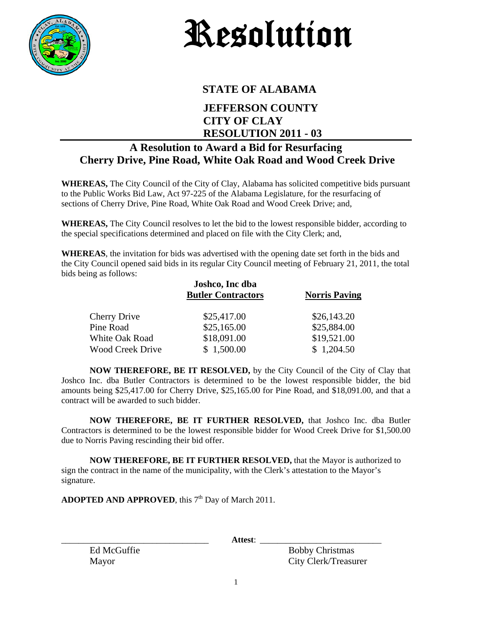

## Resolution

## **STATE OF ALABAMA**

## **JEFFERSON COUNTY CITY OF CLAY RESOLUTION 2011 - 03**

## **A Resolution to Award a Bid for Resurfacing Cherry Drive, Pine Road, White Oak Road and Wood Creek Drive**

**WHEREAS,** The City Council of the City of Clay, Alabama has solicited competitive bids pursuant to the Public Works Bid Law, Act 97-225 of the Alabama Legislature, for the resurfacing of sections of Cherry Drive, Pine Road, White Oak Road and Wood Creek Drive; and,

**WHEREAS,** The City Council resolves to let the bid to the lowest responsible bidder, according to the special specifications determined and placed on file with the City Clerk; and,

**WHEREAS**, the invitation for bids was advertised with the opening date set forth in the bids and the City Council opened said bids in its regular City Council meeting of February 21, 2011, the total bids being as follows:

|                         | Joshco, Inc dba<br><b>Butler Contractors</b> | <b>Norris Paving</b> |
|-------------------------|----------------------------------------------|----------------------|
| <b>Cherry Drive</b>     | \$25,417.00                                  | \$26,143.20          |
| Pine Road               | \$25,165.00                                  | \$25,884.00          |
| <b>White Oak Road</b>   | \$18,091.00                                  | \$19,521.00          |
| <b>Wood Creek Drive</b> | \$1,500.00                                   | \$1,204.50           |

**NOW THEREFORE, BE IT RESOLVED,** by the City Council of the City of Clay that Joshco Inc. dba Butler Contractors is determined to be the lowest responsible bidder, the bid amounts being \$25,417.00 for Cherry Drive, \$25,165.00 for Pine Road, and \$18,091.00, and that a contract will be awarded to such bidder.

**NOW THEREFORE, BE IT FURTHER RESOLVED,** that Joshco Inc. dba Butler Contractors is determined to be the lowest responsible bidder for Wood Creek Drive for \$1,500.00 due to Norris Paving rescinding their bid offer.

**NOW THEREFORE, BE IT FURTHER RESOLVED,** that the Mayor is authorized to sign the contract in the name of the municipality, with the Clerk's attestation to the Mayor's signature.

**ADOPTED AND APPROVED**, this 7<sup>th</sup> Day of March 2011.

\_\_\_\_\_\_\_\_\_\_\_\_\_\_\_\_\_\_\_\_\_\_\_\_\_\_\_\_\_\_\_\_\_\_ **Attest**: \_\_\_\_\_\_\_\_\_\_\_\_\_\_\_\_\_\_\_\_\_\_\_\_\_\_\_\_

Ed McGuffie Bobby Christmas Mayor City Clerk/Treasurer